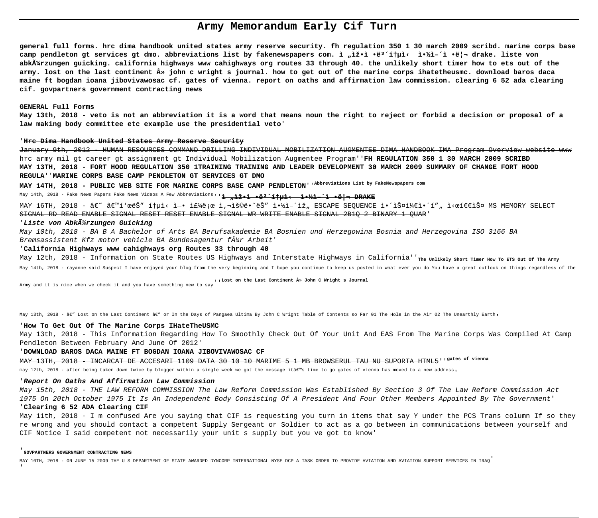# **Army Memorandum Early Cif Turn**

**general full forms. hrc dima handbook united states army reserve security. fh regulation 350 1 30 march 2009 scribd. marine corps base** camp pendleton gt services gt dmo. abbreviations list by fakenewspapers com. ì "ìž•ì •ë<sup>3</sup>´í†µì< 약ì–´ì •ë¦¬ drake. liste von **abkürzungen guicking. california highways www cahighways org routes 33 through 40. the unlikely short timer how to ets out of the army. lost on the last continent » john c wright s journal. how to get out of the marine corps ihatetheusmc. download baros daca maine ft bogdan ioana jibovivawosac cf. gates of vienna. report on oaths and affirmation law commission. clearing 6 52 ada clearing cif. govpartners government contracting news**

## **GENERAL Full Forms**

**May 13th, 2018 - veto is not an abbreviation it is a word that means noun the right to reject or forbid a decision or proposal of a law making body committee etc example use the presidential veto**'

#### '**Hrc Dima Handbook United States Army Reserve Security**

January 9th, 2012 - HUMAN RESOURCES COMMAND DRILLING INDIVIDUAL MOBILIZATION AUGMENTEE DIMA HANDBOOK IMA Program Overview website www hrc army mil gt career gt assignment gt Individual Mobilization Augmentee Program''**FH REGULATION 350 1 30 MARCH 2009 SCRIBD MAY 13TH, 2018 - FORT HOOD REGULATION 350 1TRAINING TRAINING AND LEADER DEVELOPMENT 30 MARCH 2009 SUMMARY OF CHANGE FORT HOOD REGULA**''**MARINE CORPS BASE CAMP PENDLETON GT SERVICES GT DMO**

**MAY 14TH, 2018 - PUBLIC WEB SITE FOR MARINE CORPS BASE CAMP PENDLETON**''**Abbreviations List by FakeNewspapers com**

# May 14th, 2018 - Fake News Papers Fake News Videos A Few Abbreviations''<mark>ì "ìž•ì •ë<sup>1·</sup>통ì‹ ì•½ì-´ì •리 DRAKE</mark>

MAY 16TH, 2018 - â€~ 'íŀœëŠ″통ì‹ì• i+Zh馜 ì,¬ìš©ë•~ëŠ″ì+½ì ´ìž"ESCAPE SEQUENCE 앴스케앴í″"시퀀스 MS MEMORY SELECT SIGNAL RD READ ENABLE SIGNAL RESET RESET ENABLE SIGNAL WR WRITE ENABLE SIGNAL 2B1Q 2 BINARY 1 QUAR'

### 'Liste von Abk $\tilde{A}$ 'Arzungen Guicking

May 10th, 2018 - BA B A Bachelor of Arts BA Berufsakademie BA Bosnien und Herzegowina Bosnia and Herzegovina ISO 3166 BA Bremsassistent Kfz motor vehicle BA Bundesagentur f $\tilde{A}$ /4r Arbeit'

### '**California Highways www cahighways org Routes 33 through 40**

May 12th, 2018 - Information on State Routes US Highways and Interstate Highways in California''<sub>The Unlikely Short Timer How To ETS out of The Army</sub>

May 14th, 2018 - rayanne said Suspect I have enjoyed your blog from the very beginning and I hope you continue to keep us posted in what ever you do You have a great outlook on things regardless of the

Army and it is nice when we check it and you have something new to say''**Lost on the Last Continent » John C Wright s Journal**

May 13th, 2018 - â€" Lost on the Last Continent â€" or In the Days of Pangaea Ultima By John C Wright Table of Contents so Far 01 The Hole in the Air 02 The Unearthly Earth,

### '**How To Get Out Of The Marine Corps IHateTheUSMC**

May 13th, 2018 - This Information Regarding How To Smoothly Check Out Of Your Unit And EAS From The Marine Corps Was Compiled At Camp Pendleton Between February And June Of 2012'

#### '**DOWNLOAD BAROS DACA MAINE FT BOGDAN IOANA JIBOVIVAWOSAC CF**

MAY 13TH, 2018 - INCARCAT DE ACCESARI 1109 DATA 30 10 10 MARIME 5 1 MB BROWSERUL TAU NU SUPORTA HTML5''**gates of vienna**

may 12th, 2018 - after being taken down twice by blogger within a single week we got the message it's time to go gates of vienna has moved to a new address,

#### '**Report On Oaths And Affirmation Law Commission**

May 15th, 2018 - THE LAW REFORM COMMISSION The Law Reform Commission Was Established By Section 3 Of The Law Reform Commission Act 1975 On 20th October 1975 It Is An Independent Body Consisting Of A President And Four Other Members Appointed By The Government' '**Clearing 6 52 ADA Clearing CIF**

May 11th, 2018 - I m confused Are you saying that CIF is requesting you turn in items that say Y under the PCS Trans column If so they re wrong and you should contact a competent Supply Sergeant or Soldier to act as a go between in communications between yourself and CIF Notice I said competent not necessarily your unit s supply but you ve got to know'

#### '**GOVPARTNERS GOVERNMENT CONTRACTING NEWS**

MAY 10TH, 2018 - ON JUNE 15 2009 THE U S DEPARTMENT OF STATE AWARDED DYNCORP INTERNATIONAL NYSE DCP A TASK ORDER TO PROVIDE AVIATION AND AVIATION SUPPORT SERVICES IN IRAQ'